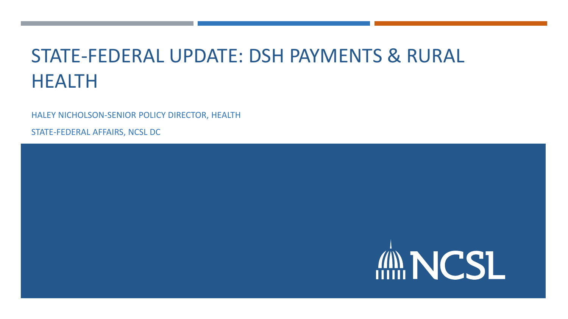## STATE-FEDERAL UPDATE: DSH PAYMENTS & RURAL HEALTH

HALEY NICHOLSON-SENIOR POLICY DIRECTOR, HEALTH

STATE-FEDERAL AFFAIRS, NCSL DC

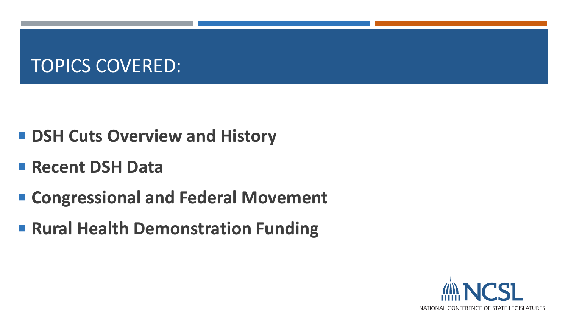#### TOPICS COVERED:

- DSH Cuts Overview and History
- **Recent DSH Data**
- Congressional and Federal Movement
- **Rural Health Demonstration Funding**

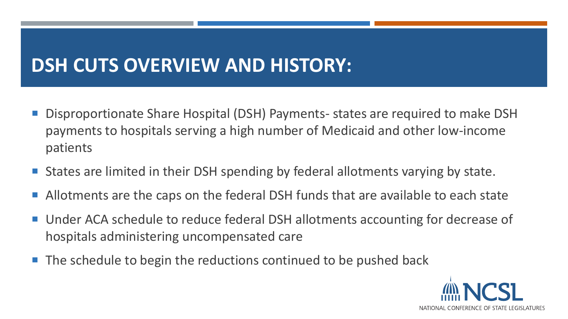#### **DSH CUTS OVERVIEW AND HISTORY:**

- Disproportionate Share Hospital (DSH) Payments- states are required to make DSH payments to hospitals serving a high number of Medicaid and other low-income patients
- States are limited in their DSH spending by federal allotments varying by state.
- Allotments are the caps on the federal DSH funds that are available to each state
- Under ACA schedule to reduce federal DSH allotments accounting for decrease of hospitals administering uncompensated care
- **The schedule to begin the reductions continued to be pushed back**

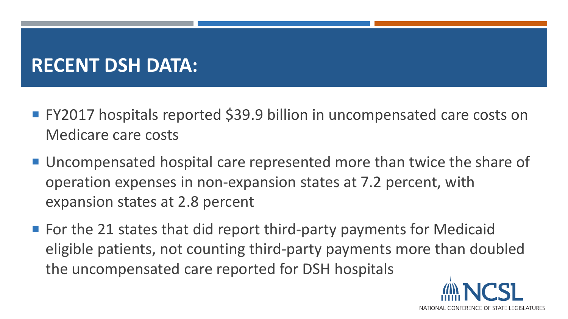## **RECENT DSH DATA:**

- FY2017 hospitals reported \$39.9 billion in uncompensated care costs on Medicare care costs
- Uncompensated hospital care represented more than twice the share of operation expenses in non-expansion states at 7.2 percent, with expansion states at 2.8 percent
- $\blacksquare$  For the 21 states that did report third-party payments for Medicaid eligible patients, not counting third-party payments more than doubled the uncompensated care reported for DSH hospitals

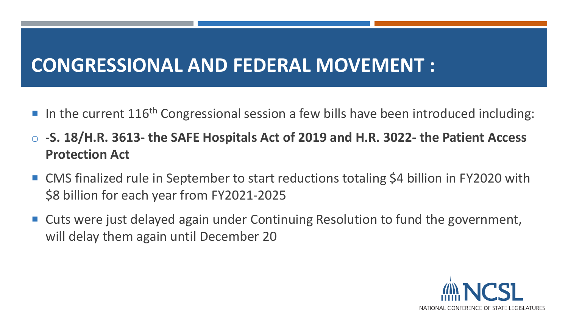## **CONGRESSIONAL AND FEDERAL MOVEMENT :**

- In the current  $116<sup>th</sup>$  Congressional session a few bills have been introduced including:
- o -**S. 18/H.R. 3613- the SAFE Hospitals Act of 2019 and H.R. 3022- the Patient Access Protection Act**
- CMS finalized rule in September to start reductions totaling \$4 billion in FY2020 with \$8 billion for each year from FY2021-2025
- Cuts were just delayed again under Continuing Resolution to fund the government, will delay them again until December 20

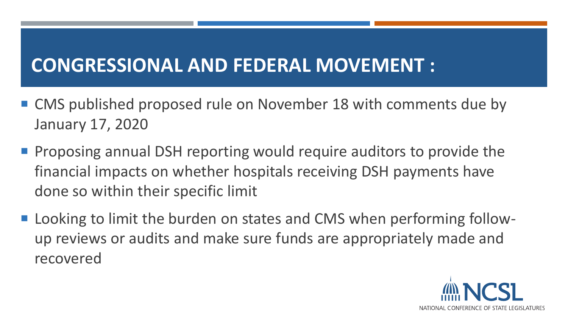## **CONGRESSIONAL AND FEDERAL MOVEMENT :**

- CMS published proposed rule on November 18 with comments due by January 17, 2020
- **Proposing annual DSH reporting would require auditors to provide the** financial impacts on whether hospitals receiving DSH payments have done so within their specific limit
- Looking to limit the burden on states and CMS when performing followup reviews or audits and make sure funds are appropriately made and recovered

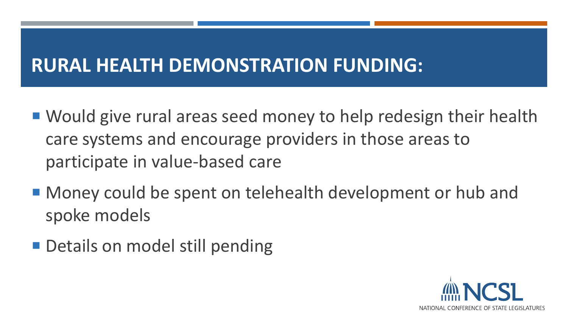## **RURAL HEALTH DEMONSTRATION FUNDING:**

- Would give rural areas seed money to help redesign their health care systems and encourage providers in those areas to participate in value-based care
- Money could be spent on telehealth development or hub and spoke models
- **Details on model still pending**

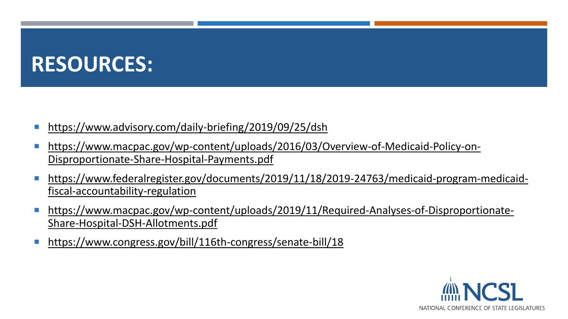# **RESOURCES:**

- <https://www.advisory.com/daily-briefing/2019/09/25/dsh>
- **[https://www.macpac.gov/wp-content/uploads/2016/03/Overview-of-Medicaid-Policy-on-](https://www.macpac.gov/wp-content/uploads/2016/03/Overview-of-Medicaid-Policy-on-Disproportionate-Share-Hospital-Payments.pdf)**Disproportionate-Share-Hospital-Payments.pdf
- [https://www.federalregister.gov/documents/2019/11/18/2019-24763/medicaid-program-medicaid](https://www.federalregister.gov/documents/2019/11/18/2019-24763/medicaid-program-medicaid-fiscal-accountability-regulation)fiscal-accountability-regulation
- [https://www.macpac.gov/wp-content/uploads/2019/11/Required-Analyses-of-Disproportionate-](https://www.macpac.gov/wp-content/uploads/2019/11/Required-Analyses-of-Disproportionate-Share-Hospital-DSH-Allotments.pdf)Share-Hospital-DSH-Allotments.pdf
- <https://www.congress.gov/bill/116th-congress/senate-bill/18>